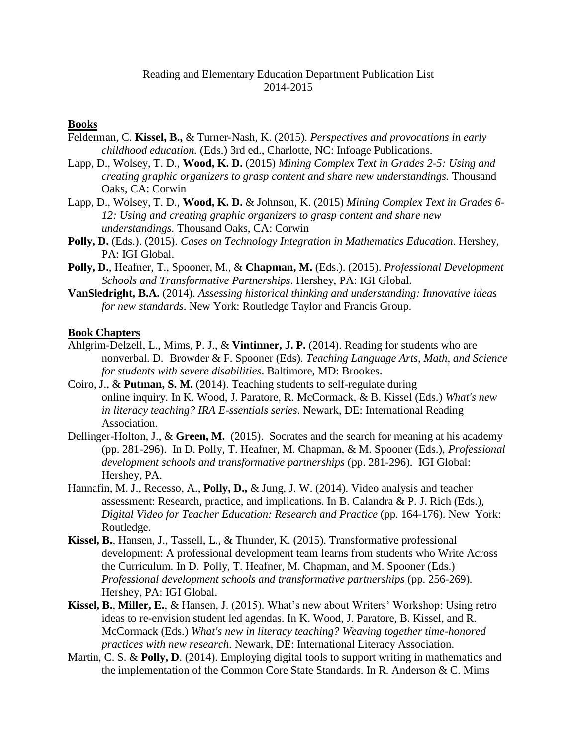## Reading and Elementary Education Department Publication List 2014-2015

#### **Books**

- Felderman, C. **Kissel, B.,** & Turner-Nash, K. (2015). *Perspectives and provocations in early childhood education.* (Eds.) 3rd ed., Charlotte, NC: Infoage Publications.
- Lapp, D., Wolsey, T. D., **Wood, K. D.** (2015) *Mining Complex Text in Grades 2-5: Using and creating graphic organizers to grasp content and share new understandings.* Thousand Oaks, CA: Corwin
- Lapp, D., Wolsey, T. D., **Wood, K. D.** & Johnson, K. (2015) *Mining Complex Text in Grades 6- 12: Using and creating graphic organizers to grasp content and share new understandings.* Thousand Oaks, CA: Corwin
- **Polly, D.** (Eds.). (2015). *Cases on Technology Integration in Mathematics Education*. Hershey, PA: IGI Global.
- **Polly, D.**, Heafner, T., Spooner, M., & **Chapman, M.** (Eds.). (2015). *Professional Development Schools and Transformative Partnerships*. Hershey, PA: IGI Global.
- **VanSledright, B.A.** (2014). *Assessing historical thinking and understanding: Innovative ideas for new standards*. New York: Routledge Taylor and Francis Group.

#### **Book Chapters**

- Ahlgrim-Delzell, L., Mims, P. J., & **Vintinner, J. P.** (2014). Reading for students who are nonverbal. D. Browder & F. Spooner (Eds). *Teaching Language Arts, Math, and Science for students with severe disabilities*. Baltimore, MD: Brookes.
- Coiro, J., & **Putman, S. M.** (2014). Teaching students to self-regulate during online inquiry. In K. Wood, J. Paratore, R. McCormack, & B. Kissel (Eds.) *What's new in literacy teaching? IRA E-ssentials series*. Newark, DE: International Reading Association.
- Dellinger-Holton, J., & **Green, M.** (2015). Socrates and the search for meaning at his academy (pp. 281-296). In D. Polly, T. Heafner, M. Chapman, & M. Spooner (Eds.), *Professional development schools and transformative partnerships* (pp. 281-296). IGI Global: Hershey, PA.
- Hannafin, M. J., Recesso, A., **Polly, D.,** & Jung, J. W. (2014). Video analysis and teacher assessment: Research, practice, and implications. In B. Calandra & P. J. Rich (Eds.), *Digital Video for Teacher Education: Research and Practice (pp. 164-176). New York:* Routledge.
- **Kissel, B.***,* Hansen, J., Tassell, L., & Thunder, K. (2015). Transformative professional development: A professional development team learns from students who Write Across the Curriculum. In D. Polly, T. Heafner, M. Chapman, and M. Spooner (Eds.) *Professional development schools and transformative partnerships (pp. 256-269).* Hershey, PA: IGI Global.
- **Kissel, B.**, **Miller, E.**, & Hansen, J. (2015). What's new about Writers' Workshop: Using retro ideas to re-envision student led agendas. In K. Wood, J. Paratore, B. Kissel, and R. McCormack (Eds.) *What's new in literacy teaching? Weaving together time-honored practices with new research*. Newark, DE: International Literacy Association.
- Martin, C. S. & **Polly, D**. (2014). Employing digital tools to support writing in mathematics and the implementation of the Common Core State Standards. In R. Anderson & C. Mims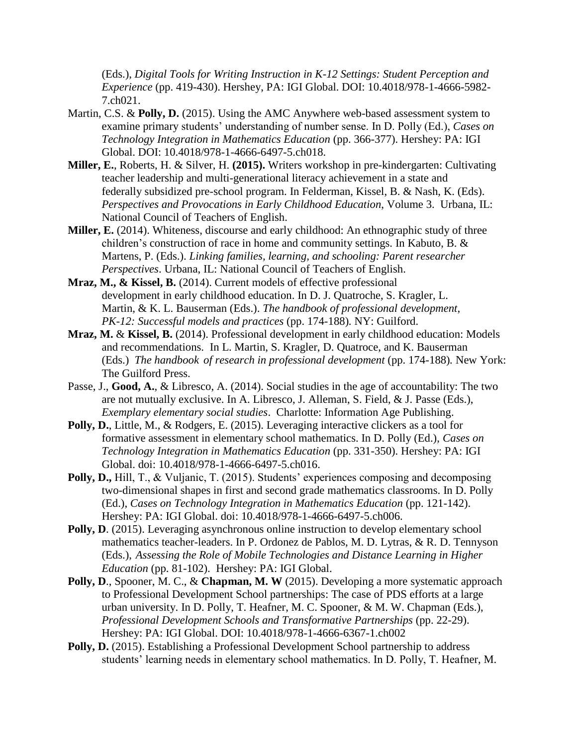(Eds.), *Digital Tools for Writing Instruction in K-12 Settings: Student Perception and Experience* (pp. 419-430). Hershey, PA: IGI Global. DOI: 10.4018/978-1-4666-5982- 7.ch021.

- Martin, C.S. & **Polly, D.** (2015). Using the AMC Anywhere web-based assessment system to examine primary students' understanding of number sense. In D. Polly (Ed.), *Cases on Technology Integration in Mathematics Education* (pp. 366-377). Hershey: PA: IGI Global. DOI: 10.4018/978-1-4666-6497-5.ch018.
- **Miller, E.**, Roberts, H. & Silver, H. **(2015).** Writers workshop in pre-kindergarten: Cultivating teacher leadership and multi-generational literacy achievement in a state and federally subsidized pre-school program. In Felderman, Kissel, B. & Nash, K. (Eds). *Perspectives and Provocations in Early Childhood Education*, Volume 3. Urbana, IL: National Council of Teachers of English.
- **Miller, E.** (2014). Whiteness, discourse and early childhood: An ethnographic study of three children's construction of race in home and community settings. In Kabuto, B. & Martens, P. (Eds.). *Linking families, learning, and schooling: Parent researcher Perspectives*. Urbana, IL: National Council of Teachers of English.
- **Mraz, M., & Kissel, B.** (2014). Current models of effective professional development in early childhood education. In D. J. Quatroche, S. Kragler, L. Martin, & K. L. Bauserman (Eds.). *The handbook of professional development, PK-12: Successful models and practices* (pp. 174-188)*.* NY: Guilford.
- **Mraz, M.** & **Kissel, B.** (2014). Professional development in early childhood education: Models and recommendations. In L. Martin, S. Kragler, D. Quatroce, and K. Bauserman (Eds.) *The handbook of research in professional development* (pp. 174-188)*.* New York: The Guilford Press.
- Passe, J., **Good, A.**, & Libresco, A. (2014). Social studies in the age of accountability: The two are not mutually exclusive. In A. Libresco, J. Alleman, S. Field, & J. Passe (Eds.), *Exemplary elementary social studies*. Charlotte: Information Age Publishing.
- **Polly, D.**, Little, M., & Rodgers, E. (2015). Leveraging interactive clickers as a tool for formative assessment in elementary school mathematics. In D. Polly (Ed.), *Cases on Technology Integration in Mathematics Education* (pp. 331-350). Hershey: PA: IGI Global. doi: 10.4018/978-1-4666-6497-5.ch016.
- **Polly, D.,** Hill, T., & Vuljanic, T. (2015). Students' experiences composing and decomposing two-dimensional shapes in first and second grade mathematics classrooms. In D. Polly (Ed.), *Cases on Technology Integration in Mathematics Education* (pp. 121-142). Hershey: PA: IGI Global. doi: 10.4018/978-1-4666-6497-5.ch006.
- **Polly, D.** (2015). Leveraging asynchronous online instruction to develop elementary school mathematics teacher-leaders. In P. Ordonez de Pablos, M. D. Lytras, & R. D. Tennyson (Eds.), *Assessing the Role of Mobile Technologies and Distance Learning in Higher Education* (pp. 81-102). Hershey: PA: IGI Global.
- **Polly, D**., Spooner, M. C., & **Chapman, M. W** (2015). Developing a more systematic approach to Professional Development School partnerships: The case of PDS efforts at a large urban university. In D. Polly, T. Heafner, M. C. Spooner, & M. W. Chapman (Eds.), *Professional Development Schools and Transformative Partnerships* (pp. 22-29). Hershey: PA: IGI Global. DOI: 10.4018/978-1-4666-6367-1.ch002
- Polly, D. (2015). Establishing a Professional Development School partnership to address students' learning needs in elementary school mathematics. In D. Polly, T. Heafner, M.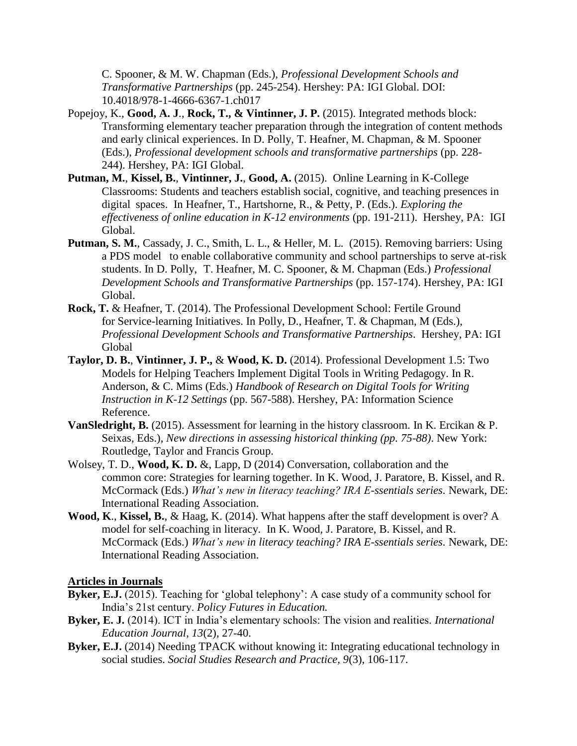C. Spooner, & M. W. Chapman (Eds.), *Professional Development Schools and Transformative Partnerships* (pp. 245-254). Hershey: PA: IGI Global. DOI: 10.4018/978-1-4666-6367-1.ch017

- Popejoy, K., **Good, A. J**., **Rock, T., & Vintinner, J. P.** (2015). Integrated methods block: Transforming elementary teacher preparation through the integration of content methods and early clinical experiences. In D. Polly, T. Heafner, M. Chapman, & M. Spooner (Eds.), *Professional development schools and transformative partnerships* (pp. 228- 244). Hershey, PA: IGI Global.
- **Putman, M.**, **Kissel, B.**, **Vintinner, J.**, **Good, A.** (2015). Online Learning in K-College Classrooms: Students and teachers establish social, cognitive, and teaching presences in digital spaces. In Heafner, T., Hartshorne, R., & Petty, P. (Eds.). *Exploring the effectiveness of online education in K-12 environments* (pp. 191-211). Hershey, PA: IGI Global.
- Putman, S. M., Cassady, J. C., Smith, L. L., & Heller, M. L. (2015). Removing barriers: Using a PDS model to enable collaborative community and school partnerships to serve at-risk students. In D. Polly, T. Heafner, M. C. Spooner, & M. Chapman (Eds.) *Professional Development Schools and Transformative Partnerships* (pp. 157-174). Hershey, PA: IGI Global.
- **Rock, T.** & Heafner, T. (2014). The Professional Development School: Fertile Ground for Service-learning Initiatives. In Polly, D., Heafner, T. & Chapman, M (Eds.), *Professional Development Schools and Transformative Partnerships*. Hershey, PA: IGI Global
- **Taylor, D. B.**, **Vintinner, J. P.,** & **Wood, K. D.** (2014). Professional Development 1.5: Two Models for Helping Teachers Implement Digital Tools in Writing Pedagogy. In R. Anderson, & C. Mims (Eds.) *Handbook of Research on Digital Tools for Writing Instruction in K-12 Settings* (pp. 567-588). Hershey, PA: Information Science Reference.
- **VanSledright, B.** (2015). Assessment for learning in the history classroom. In K. Ercikan & P. Seixas, Eds.), *New directions in assessing historical thinking (pp. 75-88)*. New York: Routledge, Taylor and Francis Group.
- Wolsey, T. D., **Wood, K. D.** &, Lapp, D (2014) Conversation, collaboration and the common core: Strategies for learning together. In K. Wood, J. Paratore, B. Kissel, and R. McCormack (Eds.) *What's new in literacy teaching? IRA E-ssentials series.* Newark, DE: International Reading Association.
- **Wood, K**., **Kissel, B.**, & Haag, K. (2014). What happens after the staff development is over? A model for self-coaching in literacy. In K. Wood, J. Paratore, B. Kissel, and R. McCormack (Eds.) *What's new in literacy teaching? IRA E-ssentials series.* Newark, DE: International Reading Association.

## **Articles in Journals**

- **Byker, E.J.** (2015). Teaching for 'global telephony': A case study of a community school for India's 21st century. *Policy Futures in Education.*
- **Byker, E. J.** (2014). ICT in India's elementary schools: The vision and realities. *International Education Journal, 13*(2), 27-40.
- **Byker, E.J.** (2014) Needing TPACK without knowing it: Integrating educational technology in social studies. *Social Studies Research and Practice, 9*(3), 106-117.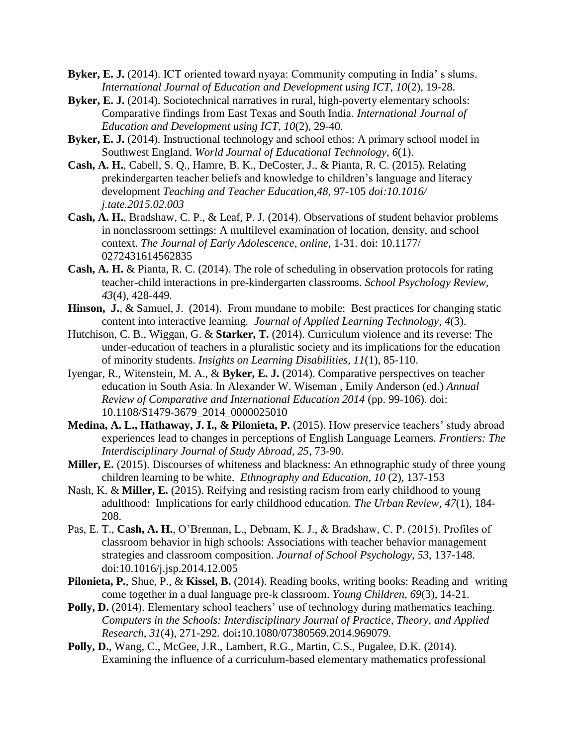- **Byker, E. J.** (2014). ICT oriented toward nyaya: Community computing in India' s slums. *International Journal of Education and Development using ICT, 10*(2), 19-28.
- **Byker, E. J.** (2014). Sociotechnical narratives in rural, high-poverty elementary schools: Comparative findings from East Texas and South India. *International Journal of Education and Development using ICT, 10*(2), 29-40.
- **Byker, E. J.** (2014). Instructional technology and school ethos: A primary school model in Southwest England. *World Journal of Educational Technology*, *6*(1).
- **Cash, A. H.**, Cabell, S. Q., Hamre, B. K., DeCoster, J., & Pianta, R. C. (2015). Relating prekindergarten teacher beliefs and knowledge to children's language and literacy development *Teaching and Teacher Education,48*, 97-105 *doi:10.1016/ j.tate.2015.02.003*
- **Cash, A. H.**, Bradshaw, C. P., & Leaf, P. J. (2014). Observations of student behavior problems in nonclassroom settings: A multilevel examination of location, density, and school context. *The Journal of Early Adolescence, online,* 1-31. doi: 10.1177/ 0272431614562835
- **Cash, A. H.** & Pianta, R. C. (2014). The role of scheduling in observation protocols for rating teacher-child interactions in pre-kindergarten classrooms. *School Psychology Review, 43*(4), 428-449*.*
- Hinson, J., & Samuel, J. (2014). From mundane to mobile: Best practices for changing static content into interactive learning*. Journal of Applied Learning Technology, 4*(3).
- Hutchison, C. B., Wiggan, G. & **Starker, T.** (2014). Curriculum violence and its reverse: The under-education of teachers in a pluralistic society and its implications for the education of minority students. *Insights on Learning Disabilities, 11*(1), 85-110.
- Iyengar, R., Witenstein, M. A., & **Byker, E. J.** (2014). Comparative perspectives on teacher education in South Asia. In Alexander W. Wiseman , Emily Anderson (ed.) *Annual Review of Comparative and International Education 2014* (pp. 99-106). doi: 10.1108/S1479-3679\_2014\_0000025010
- **Medina, A. L., Hathaway, J. I., & Pilonieta, P.** (2015). How preservice teachers' study abroad experiences lead to changes in perceptions of English Language Learners. *Frontiers: The Interdisciplinary Journal of Study Abroad, 25*, 73-90.
- **Miller, E.** (2015). Discourses of whiteness and blackness: An ethnographic study of three young children learning to be white. *Ethnography and Education, 10* (2), 137-153
- Nash, K. & **Miller, E.** (2015). Reifying and resisting racism from early childhood to young adulthood: Implications for early childhood education. *The Urban Review, 47*(1), 184- 208.
- Pas, E. T., **Cash, A. H.**, O'Brennan, L., Debnam, K. J., & Bradshaw, C. P. (2015). Profiles of classroom behavior in high schools: Associations with teacher behavior management strategies and classroom composition. *Journal of School Psychology, 53*, 137-148. doi:10.1016/j.jsp.2014.12.005
- **Pilonieta, P.**, Shue, P., & **Kissel, B.** (2014). Reading books, writing books: Reading and writing come together in a dual language pre-k classroom. *Young Children, 69*(3), 14-21.
- **Polly, D.** (2014). Elementary school teachers' use of technology during mathematics teaching. *Computers in the Schools: Interdisciplinary Journal of Practice, Theory, and Applied Research*, *31*(4), 271-292. doi**:**10.1080/07380569.2014.969079.
- **Polly, D.**, Wang, C., McGee, J.R., Lambert, R.G., Martin, C.S., Pugalee, D.K. (2014). Examining the influence of a curriculum-based elementary mathematics professional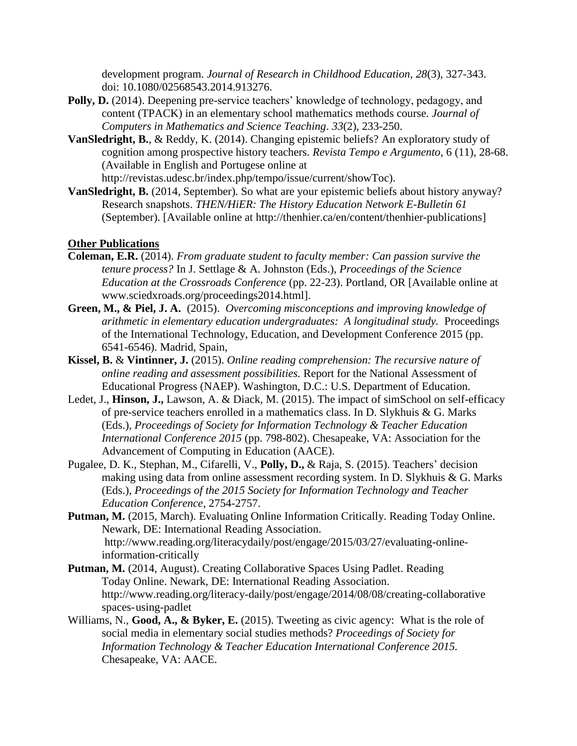development program. *Journal of Research in Childhood Education*, *28*(3), 327-343. doi: 10.1080/02568543.2014.913276.

- Polly, D. (2014). Deepening pre-service teachers' knowledge of technology, pedagogy, and content (TPACK) in an elementary school mathematics methods course. *Journal of Computers in Mathematics and Science Teaching*. *33*(2), 233-250.
- **VanSledright, B.**, & Reddy, K. (2014). Changing epistemic beliefs? An exploratory study of cognition among prospective history teachers. *Revista Tempo e Argumento*, 6 (11), 28-68. (Available in English and Portugese online at

http://revistas.udesc.br/index.php/tempo/issue/current/showToc).

**VanSledright, B.** (2014, September). So what are your epistemic beliefs about history anyway? Research snapshots. *THEN/HiER: The History Education Network E-Bulletin 61* (September). [Available online at http://thenhier.ca/en/content/thenhier-publications]

# **Other Publications**

- **Coleman, E.R.** (2014). *From graduate student to faculty member: Can passion survive the tenure process?* In J. Settlage & A. Johnston (Eds.), *Proceedings of the Science Education at the Crossroads Conference* (pp. 22-23). Portland, OR [Available online at www.sciedxroads.org/proceedings2014.html].
- **Green, M., & Piel, J. A.** (2015). *Overcoming misconceptions and improving knowledge of arithmetic in elementary education undergraduates: A longitudinal study.* Proceedings of the International Technology, Education, and Development Conference 2015 (pp. 6541-6546). Madrid, Spain,
- **Kissel, B.** & **Vintinner, J.** (2015). *Online reading comprehension: The recursive nature of online reading and assessment possibilities.* Report for the National Assessment of Educational Progress (NAEP). Washington, D.C.: U.S. Department of Education.
- Ledet, J., **Hinson, J.,** Lawson, A. & Diack, M. (2015). The impact of simSchool on self-efficacy of pre-service teachers enrolled in a mathematics class. In D. Slykhuis & G. Marks (Eds.), *Proceedings of Society for Information Technology & Teacher Education International Conference 2015* (pp. 798-802). Chesapeake, VA: Association for the Advancement of Computing in Education (AACE).
- Pugalee, D. K., Stephan, M., Cifarelli, V., **Polly, D.,** & Raja, S. (2015). Teachers' decision making using data from online assessment recording system. In D. Slykhuis & G. Marks (Eds.), *Proceedings of the 2015 Society for Information Technology and Teacher Education Conference*, 2754-2757.
- **Putman, M.** (2015, March). Evaluating Online Information Critically. Reading Today Online. Newark, DE: International Reading Association. http://www.reading.org/literacydaily/post/engage/2015/03/27/evaluating-onlineinformation-critically
- **Putman, M.** (2014, August). Creating Collaborative Spaces Using Padlet. Reading Today Online. Newark, DE: International Reading Association. http://www.reading.org/literacy-daily/post/engage/2014/08/08/creating-collaborative spaces-using-padlet
- Williams, N., **Good, A., & Byker, E.** (2015). Tweeting as civic agency: What is the role of social media in elementary social studies methods? *Proceedings of Society for Information Technology & Teacher Education International Conference 2015.*  Chesapeake, VA: AACE.